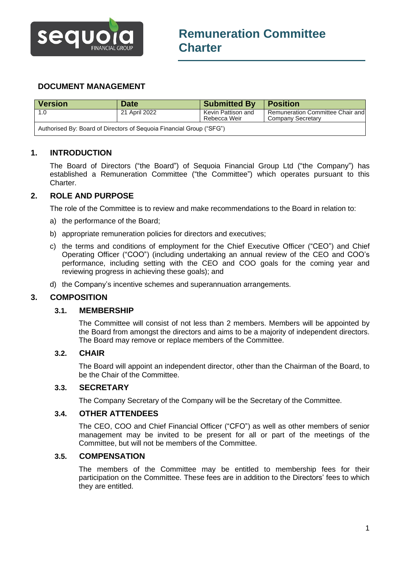

# **DOCUMENT MANAGEMENT**

| Version                                                              | <b>Date</b>   | <b>Submitted By</b>                | <b>Position</b>                                       |
|----------------------------------------------------------------------|---------------|------------------------------------|-------------------------------------------------------|
| 1.0                                                                  | 21 April 2022 | Kevin Pattison and<br>Rebecca Weir | Remuneration Committee Chair and<br>Company Secretary |
| Authorised By: Board of Directors of Sequoia Financial Group ("SFG") |               |                                    |                                                       |

## **1. INTRODUCTION**

The Board of Directors ("the Board") of Sequoia Financial Group Ltd ("the Company") has established a Remuneration Committee ("the Committee") which operates pursuant to this Charter.

## **2. ROLE AND PURPOSE**

The role of the Committee is to review and make recommendations to the Board in relation to:

- a) the performance of the Board;
- b) appropriate remuneration policies for directors and executives;
- c) the terms and conditions of employment for the Chief Executive Officer ("CEO") and Chief Operating Officer ("COO") (including undertaking an annual review of the CEO and COO's performance, including setting with the CEO and COO goals for the coming year and reviewing progress in achieving these goals); and
- d) the Company's incentive schemes and superannuation arrangements.

#### **3. COMPOSITION**

#### **3.1. MEMBERSHIP**

The Committee will consist of not less than 2 members. Members will be appointed by the Board from amongst the directors and aims to be a majority of independent directors. The Board may remove or replace members of the Committee.

#### **3.2. CHAIR**

The Board will appoint an independent director, other than the Chairman of the Board, to be the Chair of the Committee.

### **3.3. SECRETARY**

The Company Secretary of the Company will be the Secretary of the Committee.

### **3.4. OTHER ATTENDEES**

The CEO, COO and Chief Financial Officer ("CFO") as well as other members of senior management may be invited to be present for all or part of the meetings of the Committee, but will not be members of the Committee.

#### **3.5. COMPENSATION**

The members of the Committee may be entitled to membership fees for their participation on the Committee. These fees are in addition to the Directors' fees to which they are entitled.